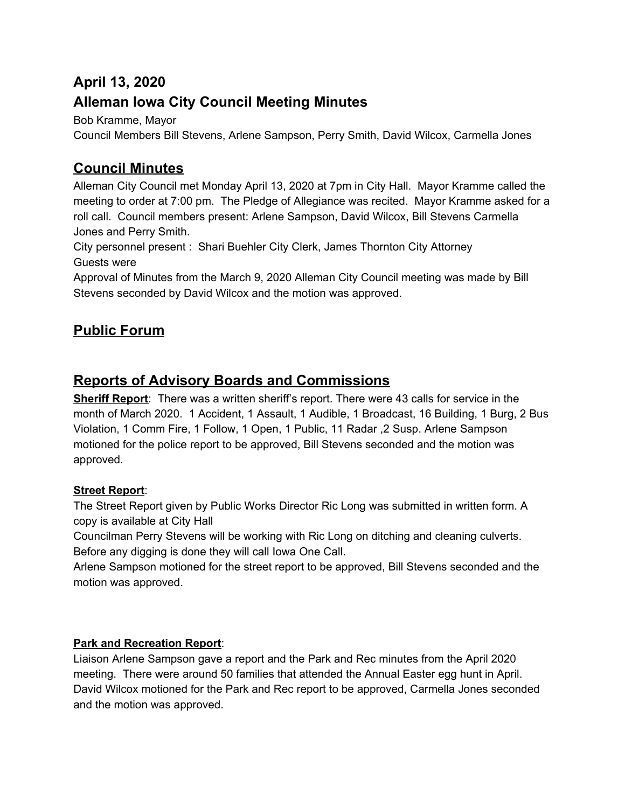## **April 13, 2020**

# **Alleman Iowa City Council Meeting Minutes**

Bob Kramme, Mayor

Council Members Bill Stevens, Arlene Sampson, Perry Smith, David Wilcox, Carmella Jones

# **Council Minutes**

Alleman City Council met Monday April 13, 2020 at 7pm in City Hall. Mayor Kramme called the meeting to order at 7:00 pm. The Pledge of Allegiance was recited. Mayor Kramme asked for a roll call. Council members present: Arlene Sampson, David Wilcox, Bill Stevens Carmella Jones and Perry Smith.

City personnel present : Shari Buehler City Clerk, James Thornton City Attorney Guests were

Approval of Minutes from the March 9, 2020 Alleman City Council meeting was made by Bill Stevens seconded by David Wilcox and the motion was approved.

# **Public Forum**

## **Reports of Advisory Boards and Commissions**

**Sheriff Report**: There was a written sheriff's report. There were 43 calls for service in the month of March 2020. 1 Accident, 1 Assault, 1 Audible, 1 Broadcast, 16 Building, 1 Burg, 2 Bus Violation, 1 Comm Fire, 1 Follow, 1 Open, 1 Public, 11 Radar ,2 Susp. Arlene Sampson motioned for the police report to be approved, Bill Stevens seconded and the motion was approved.

## **Street Report**:

The Street Report given by Public Works Director Ric Long was submitted in written form. A copy is available at City Hall

Councilman Perry Stevens will be working with Ric Long on ditching and cleaning culverts. Before any digging is done they will call Iowa One Call.

Arlene Sampson motioned for the street report to be approved, Bill Stevens seconded and the motion was approved.

## **Park and Recreation Report**:

Liaison Arlene Sampson gave a report and the Park and Rec minutes from the April 2020 meeting. There were around 50 families that attended the Annual Easter egg hunt in April. David Wilcox motioned for the Park and Rec report to be approved, Carmella Jones seconded and the motion was approved.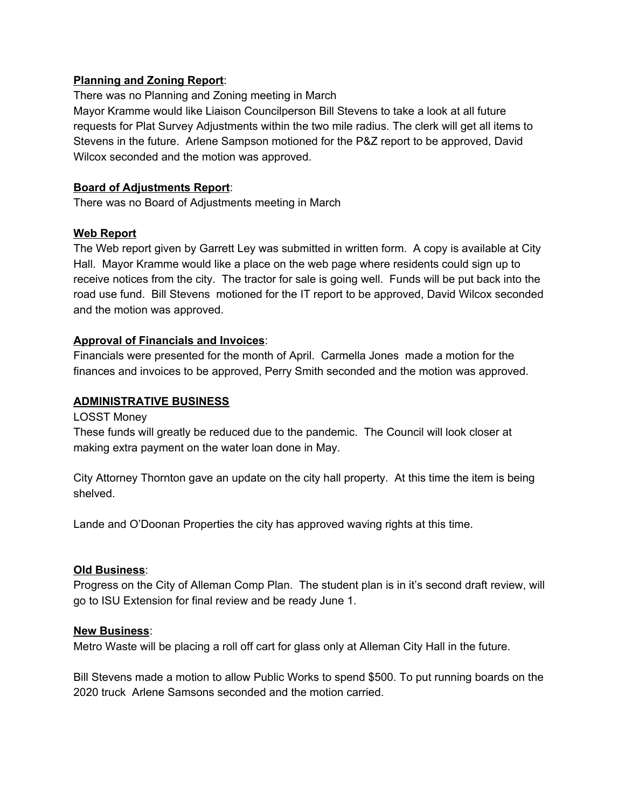### **Planning and Zoning Report**:

There was no Planning and Zoning meeting in March

Mayor Kramme would like Liaison Councilperson Bill Stevens to take a look at all future requests for Plat Survey Adjustments within the two mile radius. The clerk will get all items to Stevens in the future. Arlene Sampson motioned for the P&Z report to be approved, David Wilcox seconded and the motion was approved.

## **Board of Adjustments Report**:

There was no Board of Adjustments meeting in March

### **Web Report**

The Web report given by Garrett Ley was submitted in written form. A copy is available at City Hall. Mayor Kramme would like a place on the web page where residents could sign up to receive notices from the city. The tractor for sale is going well. Funds will be put back into the road use fund. Bill Stevens motioned for the IT report to be approved, David Wilcox seconded and the motion was approved.

### **Approval of Financials and Invoices**:

Financials were presented for the month of April. Carmella Jones made a motion for the finances and invoices to be approved, Perry Smith seconded and the motion was approved.

### **ADMINISTRATIVE BUSINESS**

LOSST Money

These funds will greatly be reduced due to the pandemic. The Council will look closer at making extra payment on the water loan done in May.

City Attorney Thornton gave an update on the city hall property. At this time the item is being shelved.

Lande and O'Doonan Properties the city has approved waving rights at this time.

### **Old Business**:

Progress on the City of Alleman Comp Plan. The student plan is in it's second draft review, will go to ISU Extension for final review and be ready June 1.

### **New Business**:

Metro Waste will be placing a roll off cart for glass only at Alleman City Hall in the future.

Bill Stevens made a motion to allow Public Works to spend \$500. To put running boards on the 2020 truck Arlene Samsons seconded and the motion carried.